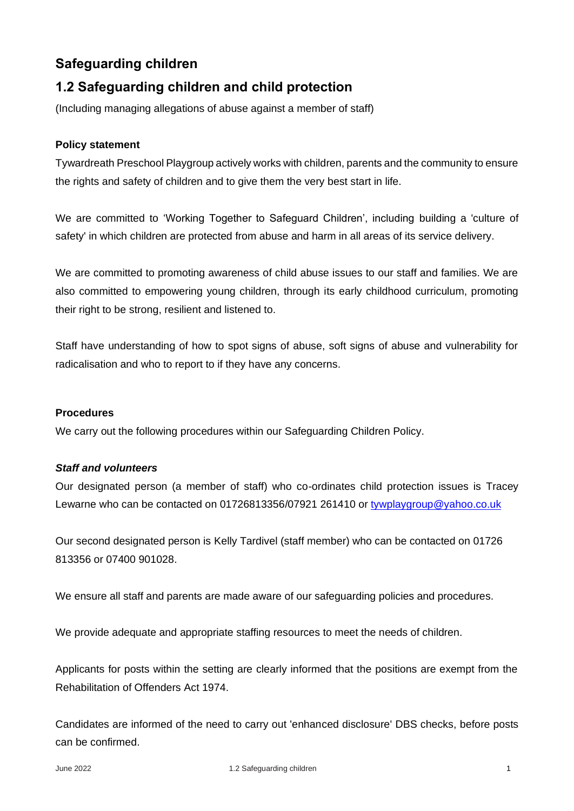# **Safeguarding children**

# **1.2 Safeguarding children and child protection**

(Including managing allegations of abuse against a member of staff)

## **Policy statement**

Tywardreath Preschool Playgroup actively works with children, parents and the community to ensure the rights and safety of children and to give them the very best start in life.

We are committed to 'Working Together to Safeguard Children', including building a 'culture of safety' in which children are protected from abuse and harm in all areas of its service delivery.

We are committed to promoting awareness of child abuse issues to our staff and families. We are also committed to empowering young children, through its early childhood curriculum, promoting their right to be strong, resilient and listened to.

Staff have understanding of how to spot signs of abuse, soft signs of abuse and vulnerability for radicalisation and who to report to if they have any concerns.

## **Procedures**

We carry out the following procedures within our Safeguarding Children Policy.

## *Staff and volunteers*

Our designated person (a member of staff) who co-ordinates child protection issues is Tracey Lewarne who can be contacted on 01726813356/07921 261410 or [tywplaygroup@yahoo.co.uk](mailto:tywplaygroup@yahoo.co.uk)

Our second designated person is Kelly Tardivel (staff member) who can be contacted on 01726 813356 or 07400 901028.

We ensure all staff and parents are made aware of our safeguarding policies and procedures.

We provide adequate and appropriate staffing resources to meet the needs of children.

Applicants for posts within the setting are clearly informed that the positions are exempt from the Rehabilitation of Offenders Act 1974.

Candidates are informed of the need to carry out 'enhanced disclosure' DBS checks, before posts can be confirmed.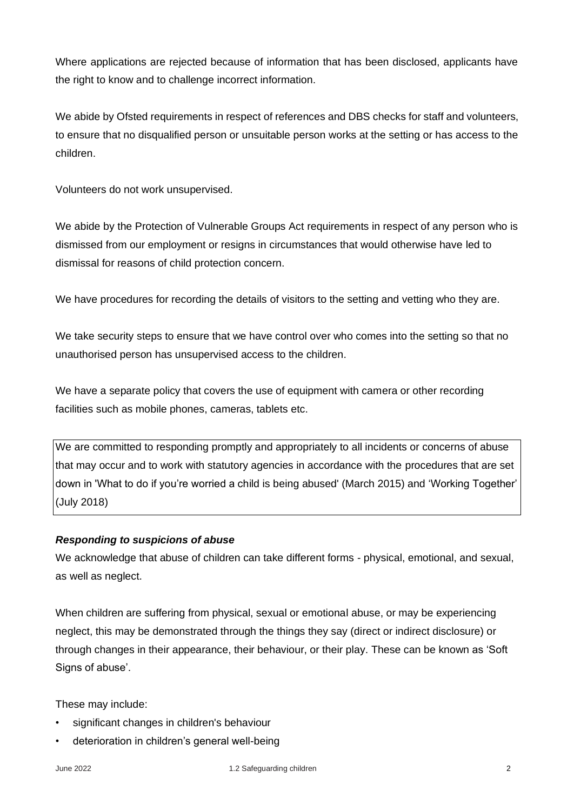Where applications are rejected because of information that has been disclosed, applicants have the right to know and to challenge incorrect information.

We abide by Ofsted requirements in respect of references and DBS checks for staff and volunteers, to ensure that no disqualified person or unsuitable person works at the setting or has access to the children.

Volunteers do not work unsupervised.

We abide by the Protection of Vulnerable Groups Act requirements in respect of any person who is dismissed from our employment or resigns in circumstances that would otherwise have led to dismissal for reasons of child protection concern.

We have procedures for recording the details of visitors to the setting and vetting who they are.

We take security steps to ensure that we have control over who comes into the setting so that no unauthorised person has unsupervised access to the children.

We have a separate policy that covers the use of equipment with camera or other recording facilities such as mobile phones, cameras, tablets etc.

We are committed to responding promptly and appropriately to all incidents or concerns of abuse that may occur and to work with statutory agencies in accordance with the procedures that are set down in 'What to do if you're worried a child is being abused' (March 2015) and 'Working Together' (July 2018)

#### *Responding to suspicions of abuse*

We acknowledge that abuse of children can take different forms - physical, emotional, and sexual, as well as neglect.

When children are suffering from physical, sexual or emotional abuse, or may be experiencing neglect, this may be demonstrated through the things they say (direct or indirect disclosure) or through changes in their appearance, their behaviour, or their play. These can be known as 'Soft Signs of abuse'.

These may include:

- significant changes in children's behaviour
- deterioration in children's general well-being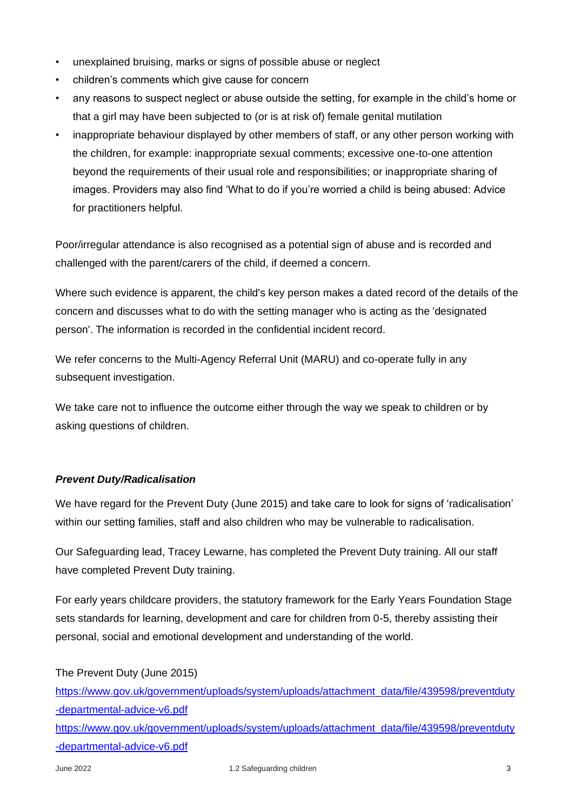- unexplained bruising, marks or signs of possible abuse or neglect
- children's comments which give cause for concern
- any reasons to suspect neglect or abuse outside the setting, for example in the child's home or that a girl may have been subjected to (or is at risk of) female genital mutilation
- inappropriate behaviour displayed by other members of staff, or any other person working with the children, for example: inappropriate sexual comments; excessive one-to-one attention beyond the requirements of their usual role and responsibilities; or inappropriate sharing of images. Providers may also find 'What to do if you're worried a child is being abused: Advice for practitioners helpful.

Poor/irregular attendance is also recognised as a potential sign of abuse and is recorded and challenged with the parent/carers of the child, if deemed a concern.

Where such evidence is apparent, the child's key person makes a dated record of the details of the concern and discusses what to do with the setting manager who is acting as the 'designated person'. The information is recorded in the confidential incident record.

We refer concerns to the Multi-Agency Referral Unit (MARU) and co-operate fully in any subsequent investigation.

We take care not to influence the outcome either through the way we speak to children or by asking questions of children.

# *Prevent Duty/Radicalisation*

We have regard for the Prevent Duty (June 2015) and take care to look for signs of 'radicalisation' within our setting families, staff and also children who may be vulnerable to radicalisation.

Our Safeguarding lead, Tracey Lewarne, has completed the Prevent Duty training. All our staff have completed Prevent Duty training.

For early years childcare providers, the statutory framework for the Early Years Foundation Stage sets standards for learning, development and care for children from 0-5, thereby assisting their personal, social and emotional development and understanding of the world.

The Prevent Duty (June 2015)

[https://www.gov.uk/government/uploads/system/uploads/attachment\\_data/file/439598/preventduty](https://www.gov.uk/government/uploads/system/uploads/attachment_data/file/439598/preventduty-departmental-advice-v6.pdf) [-departmental-advice-v6.pdf](https://www.gov.uk/government/uploads/system/uploads/attachment_data/file/439598/preventduty-departmental-advice-v6.pdf)

[https://www.gov.uk/government/uploads/system/uploads/attachment\\_data/file/439598/preventduty](https://www.gov.uk/government/uploads/system/uploads/attachment_data/file/439598/preventduty-departmental-advice-v6.pdf) [-departmental-advice-v6.pdf](https://www.gov.uk/government/uploads/system/uploads/attachment_data/file/439598/preventduty-departmental-advice-v6.pdf)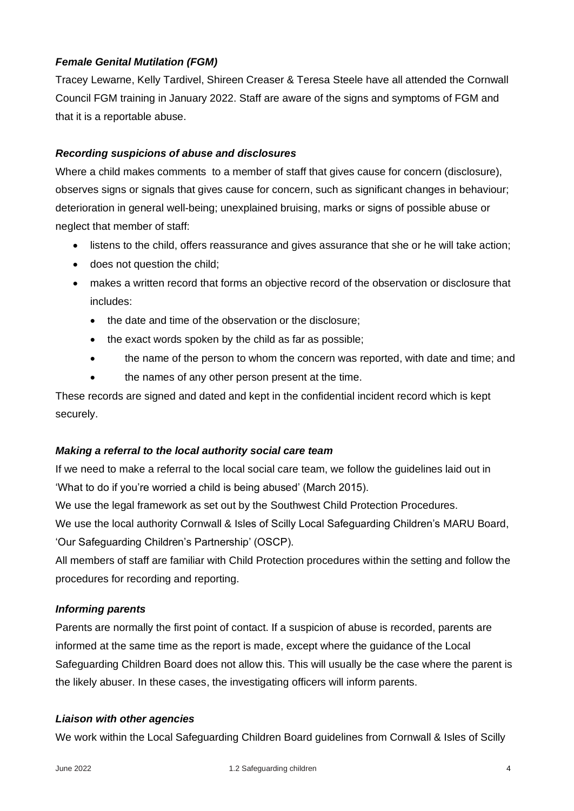## *Female Genital Mutilation (FGM)*

Tracey Lewarne, Kelly Tardivel, Shireen Creaser & Teresa Steele have all attended the Cornwall Council FGM training in January 2022. Staff are aware of the signs and symptoms of FGM and that it is a reportable abuse.

## *Recording suspicions of abuse and disclosures*

Where a child makes comments to a member of staff that gives cause for concern (disclosure), observes signs or signals that gives cause for concern, such as significant changes in behaviour; deterioration in general well-being; unexplained bruising, marks or signs of possible abuse or neglect that member of staff:

- listens to the child, offers reassurance and gives assurance that she or he will take action;
- does not question the child;
- makes a written record that forms an objective record of the observation or disclosure that includes:
	- the date and time of the observation or the disclosure;
	- the exact words spoken by the child as far as possible;
	- the name of the person to whom the concern was reported, with date and time; and
	- the names of any other person present at the time.

These records are signed and dated and kept in the confidential incident record which is kept securely.

## *Making a referral to the local authority social care team*

If we need to make a referral to the local social care team, we follow the guidelines laid out in 'What to do if you're worried a child is being abused' (March 2015).

We use the legal framework as set out by the Southwest Child Protection Procedures.

We use the local authority Cornwall & Isles of Scilly Local Safeguarding Children's MARU Board, 'Our Safeguarding Children's Partnership' (OSCP).

All members of staff are familiar with Child Protection procedures within the setting and follow the procedures for recording and reporting.

## *Informing parents*

Parents are normally the first point of contact. If a suspicion of abuse is recorded, parents are informed at the same time as the report is made, except where the guidance of the Local Safeguarding Children Board does not allow this. This will usually be the case where the parent is the likely abuser. In these cases, the investigating officers will inform parents.

## *Liaison with other agencies*

We work within the Local Safeguarding Children Board guidelines from Cornwall & Isles of Scilly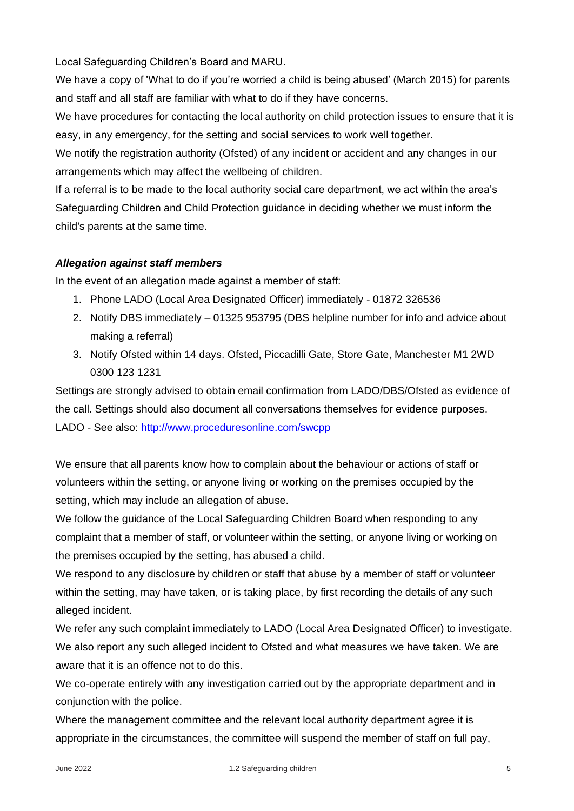Local Safeguarding Children's Board and MARU.

We have a copy of 'What to do if you're worried a child is being abused' (March 2015) for parents and staff and all staff are familiar with what to do if they have concerns.

We have procedures for contacting the local authority on child protection issues to ensure that it is easy, in any emergency, for the setting and social services to work well together.

We notify the registration authority (Ofsted) of any incident or accident and any changes in our arrangements which may affect the wellbeing of children.

If a referral is to be made to the local authority social care department, we act within the area's Safeguarding Children and Child Protection guidance in deciding whether we must inform the child's parents at the same time.

# *Allegation against staff members*

In the event of an allegation made against a member of staff:

- 1. Phone LADO (Local Area Designated Officer) immediately 01872 326536
- 2. Notify DBS immediately 01325 953795 (DBS helpline number for info and advice about making a referral)
- 3. Notify Ofsted within 14 days. Ofsted, Piccadilli Gate, Store Gate, Manchester M1 2WD 0300 123 1231

Settings are strongly advised to obtain email confirmation from LADO/DBS/Ofsted as evidence of the call. Settings should also document all conversations themselves for evidence purposes. LADO - See also: <http://www.proceduresonline.com/swcpp>

We ensure that all parents know how to complain about the behaviour or actions of staff or volunteers within the setting, or anyone living or working on the premises occupied by the setting, which may include an allegation of abuse.

We follow the guidance of the Local Safeguarding Children Board when responding to any complaint that a member of staff, or volunteer within the setting, or anyone living or working on the premises occupied by the setting, has abused a child.

We respond to any disclosure by children or staff that abuse by a member of staff or volunteer within the setting, may have taken, or is taking place, by first recording the details of any such alleged incident.

We refer any such complaint immediately to LADO (Local Area Designated Officer) to investigate. We also report any such alleged incident to Ofsted and what measures we have taken. We are aware that it is an offence not to do this.

We co-operate entirely with any investigation carried out by the appropriate department and in conjunction with the police.

Where the management committee and the relevant local authority department agree it is appropriate in the circumstances, the committee will suspend the member of staff on full pay,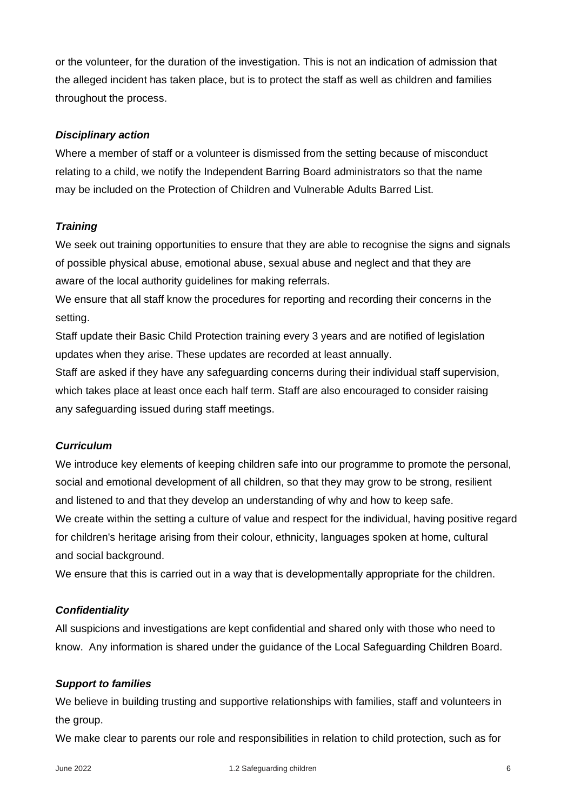or the volunteer, for the duration of the investigation. This is not an indication of admission that the alleged incident has taken place, but is to protect the staff as well as children and families throughout the process.

#### *Disciplinary action*

Where a member of staff or a volunteer is dismissed from the setting because of misconduct relating to a child, we notify the Independent Barring Board administrators so that the name may be included on the Protection of Children and Vulnerable Adults Barred List.

## *Training*

We seek out training opportunities to ensure that they are able to recognise the signs and signals of possible physical abuse, emotional abuse, sexual abuse and neglect and that they are aware of the local authority guidelines for making referrals.

We ensure that all staff know the procedures for reporting and recording their concerns in the setting.

Staff update their Basic Child Protection training every 3 years and are notified of legislation updates when they arise. These updates are recorded at least annually.

Staff are asked if they have any safeguarding concerns during their individual staff supervision, which takes place at least once each half term. Staff are also encouraged to consider raising any safeguarding issued during staff meetings.

#### *Curriculum*

We introduce key elements of keeping children safe into our programme to promote the personal, social and emotional development of all children, so that they may grow to be strong, resilient and listened to and that they develop an understanding of why and how to keep safe. We create within the setting a culture of value and respect for the individual, having positive regard for children's heritage arising from their colour, ethnicity, languages spoken at home, cultural and social background.

We ensure that this is carried out in a way that is developmentally appropriate for the children.

#### *Confidentiality*

All suspicions and investigations are kept confidential and shared only with those who need to know. Any information is shared under the guidance of the Local Safeguarding Children Board.

#### *Support to families*

We believe in building trusting and supportive relationships with families, staff and volunteers in the group.

We make clear to parents our role and responsibilities in relation to child protection, such as for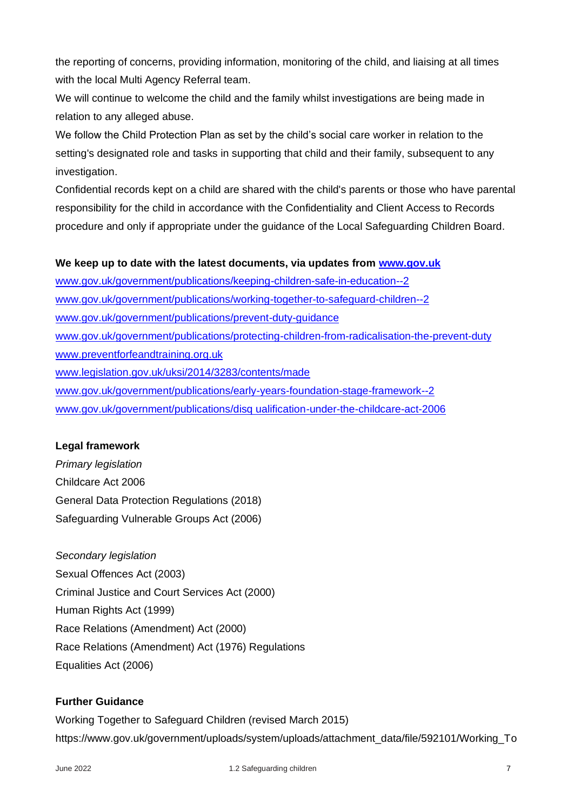the reporting of concerns, providing information, monitoring of the child, and liaising at all times with the local Multi Agency Referral team.

We will continue to welcome the child and the family whilst investigations are being made in relation to any alleged abuse.

We follow the Child Protection Plan as set by the child's social care worker in relation to the setting's designated role and tasks in supporting that child and their family, subsequent to any investigation.

Confidential records kept on a child are shared with the child's parents or those who have parental responsibility for the child in accordance with the Confidentiality and Client Access to Records procedure and only if appropriate under the guidance of the Local Safeguarding Children Board.

## **We keep up to date with the latest documents, via updates from [www.gov.uk](http://www.gov.uk/)**

[www.gov.uk/government/publications/keeping-children-safe-in-education--2](http://www.gov.uk/government/publications/keeping-children-safe-in-education--2) [www.gov.uk/government/publications/working-together-to-safeguard-children--2](http://www.gov.uk/government/publications/working-together-to-safeguard-children--2) [www.gov.uk/government/publications/prevent-duty-guidance](http://www.gov.uk/government/publications/prevent-duty-guidance) [www.gov.uk/government/publications/protecting-children-from-radicalisation-the-prevent-duty](http://www.gov.uk/government/publications/protecting-children-from-radicalisation-the-prevent-duty) [www.preventforfeandtraining.org.uk](http://www.preventforfeandtraining.org.uk/) [www.legislation.gov.uk/uksi/2014/3283/contents/made](http://www.legislation.gov.uk/uksi/2014/3283/contents/made) [www.gov.uk/government/publications/early-years-foundation-stage-framework--2](http://www.gov.uk/government/publications/early-years-foundation-stage-framework--2) [www.gov.uk/government/publications/disq ualification-under-the-childcare-act-2006](file:///E:/Preschool%20Committee%20Folder/1Secretary%20files%20for%20Jo/Policies/2017-2018%20Policies/www.gov.uk/government/publications/disq%20ualification-under-the-childcare-act-2006)

## **Legal framework**

*Primary legislation* Childcare Act 2006 General Data Protection Regulations (2018) Safeguarding Vulnerable Groups Act (2006)

#### *Secondary legislation*

Sexual Offences Act (2003) Criminal Justice and Court Services Act (2000) Human Rights Act (1999) Race Relations (Amendment) Act (2000) Race Relations (Amendment) Act (1976) Regulations Equalities Act (2006)

## **Further Guidance**

Working Together to Safeguard Children (revised March 2015) https://www.gov.uk/government/uploads/system/uploads/attachment\_data/file/592101/Working\_To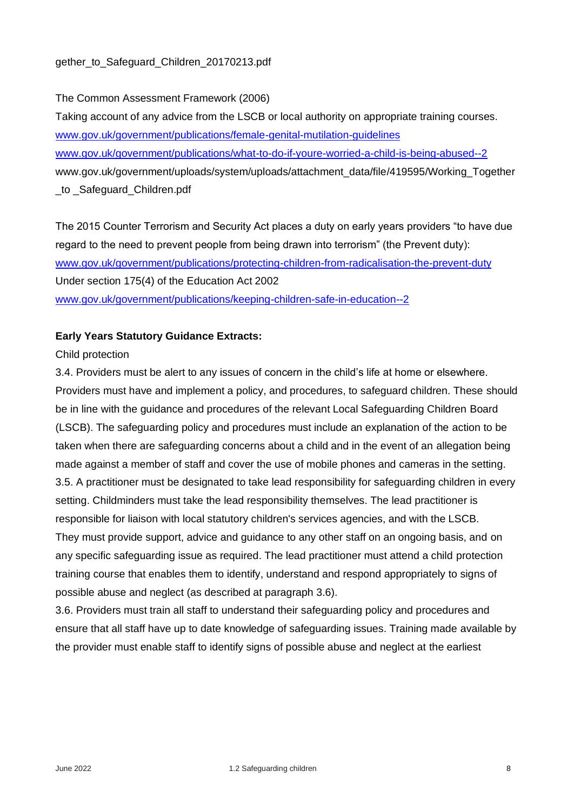The Common Assessment Framework (2006)

Taking account of any advice from the LSCB or local authority on appropriate training courses. [www.gov.uk/government/publications/female-genital-mutilation-guidelines](http://www.gov.uk/government/publications/female-genital-mutilation-guidelines) [www.gov.uk/government/publications/what-to-do-if-youre-worried-a-child-is-being-abused--2](http://www.gov.uk/government/publications/what-to-do-if-youre-worried-a-child-is-being-abused--2) www.gov.uk/government/uploads/system/uploads/attachment\_data/file/419595/Working\_Together \_to \_Safeguard\_Children.pdf

The 2015 Counter Terrorism and Security Act places a duty on early years providers "to have due regard to the need to prevent people from being drawn into terrorism" (the Prevent duty): [www.gov.uk/government/publications/protecting-children-from-radicalisation-the-prevent-duty](http://www.gov.uk/government/publications/protecting-children-from-radicalisation-the-prevent-duty) Under section 175(4) of the Education Act 2002 [www.gov.uk/government/publications/keeping-children-safe-in-education--2](http://www.gov.uk/government/publications/keeping-children-safe-in-education--2)

## **Early Years Statutory Guidance Extracts:**

#### Child protection

3.4. Providers must be alert to any issues of concern in the child's life at home or elsewhere. Providers must have and implement a policy, and procedures, to safeguard children. These should be in line with the guidance and procedures of the relevant Local Safeguarding Children Board (LSCB). The safeguarding policy and procedures must include an explanation of the action to be taken when there are safeguarding concerns about a child and in the event of an allegation being made against a member of staff and cover the use of mobile phones and cameras in the setting. 3.5. A practitioner must be designated to take lead responsibility for safeguarding children in every setting. Childminders must take the lead responsibility themselves. The lead practitioner is responsible for liaison with local statutory children's services agencies, and with the LSCB. They must provide support, advice and guidance to any other staff on an ongoing basis, and on any specific safeguarding issue as required. The lead practitioner must attend a child protection training course that enables them to identify, understand and respond appropriately to signs of possible abuse and neglect (as described at paragraph 3.6).

3.6. Providers must train all staff to understand their safeguarding policy and procedures and ensure that all staff have up to date knowledge of safeguarding issues. Training made available by the provider must enable staff to identify signs of possible abuse and neglect at the earliest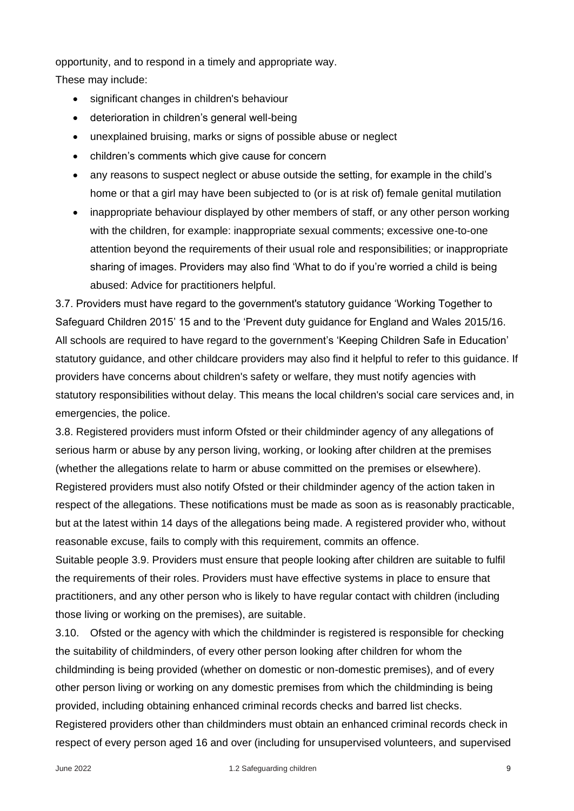opportunity, and to respond in a timely and appropriate way.

These may include:

- significant changes in children's behaviour
- deterioration in children's general well-being
- unexplained bruising, marks or signs of possible abuse or neglect
- children's comments which give cause for concern
- any reasons to suspect neglect or abuse outside the setting, for example in the child's home or that a girl may have been subjected to (or is at risk of) female genital mutilation
- inappropriate behaviour displayed by other members of staff, or any other person working with the children, for example: inappropriate sexual comments; excessive one-to-one attention beyond the requirements of their usual role and responsibilities; or inappropriate sharing of images. Providers may also find 'What to do if you're worried a child is being abused: Advice for practitioners helpful.

3.7. Providers must have regard to the government's statutory guidance 'Working Together to Safeguard Children 2015' 15 and to the 'Prevent duty guidance for England and Wales 2015/16. All schools are required to have regard to the government's 'Keeping Children Safe in Education' statutory guidance, and other childcare providers may also find it helpful to refer to this guidance. If providers have concerns about children's safety or welfare, they must notify agencies with statutory responsibilities without delay. This means the local children's social care services and, in emergencies, the police.

3.8. Registered providers must inform Ofsted or their childminder agency of any allegations of serious harm or abuse by any person living, working, or looking after children at the premises (whether the allegations relate to harm or abuse committed on the premises or elsewhere). Registered providers must also notify Ofsted or their childminder agency of the action taken in respect of the allegations. These notifications must be made as soon as is reasonably practicable, but at the latest within 14 days of the allegations being made. A registered provider who, without reasonable excuse, fails to comply with this requirement, commits an offence.

Suitable people 3.9. Providers must ensure that people looking after children are suitable to fulfil the requirements of their roles. Providers must have effective systems in place to ensure that practitioners, and any other person who is likely to have regular contact with children (including those living or working on the premises), are suitable.

3.10. Ofsted or the agency with which the childminder is registered is responsible for checking the suitability of childminders, of every other person looking after children for whom the childminding is being provided (whether on domestic or non-domestic premises), and of every other person living or working on any domestic premises from which the childminding is being provided, including obtaining enhanced criminal records checks and barred list checks. Registered providers other than childminders must obtain an enhanced criminal records check in respect of every person aged 16 and over (including for unsupervised volunteers, and supervised